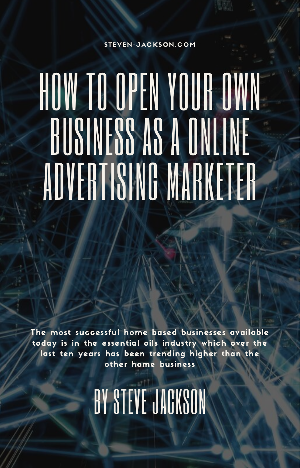#### ST[EVE](https://steven-jackson.com/)N-JACKSON.COM

# HOW TO OPEN YOUR OWN BUSINESS AS A ONLINE ADVERTISING MARKETER

The most successful home based businesses available today is in the essential oils industry which over the last ten years has been trending higher than the other home business

BY STEVE JACKSON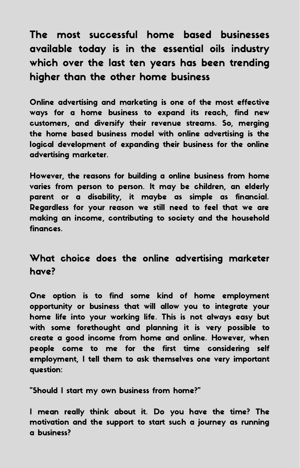The most successful home based businesses available today is in the essential oils industry which over the last ten years has been trending higher than the other home business

Online advertising and marketing is one of the most effective ways for a home business to expand its reach, find new customers, and diversify their revenue streams. So, merging the home based business model with online advertising is the logical development of expanding their business for the online advertising marketer.

However, the reasons for building a online business from home varies from person to person. It may be children, an elderly parent or a disability, it maybe as simple as financial. Regardless for your reason we still need to feel that we are making an income, contributing to society and the household finances.

# What choice does the online advertising marketer have?

One option is to find some kind of home employment opportunity or business that will allow you to integrate your home life into your working life. This is not always easy but with some forethought and planning it is very possible to create a good income from home and online. However, when people come to me for the first time considering self employment, I tell them to ask themselves one very important question:

"Should I start my own business from home?"

I mean really think about it. Do you have the time? The motivation and the support to start such a journey as running a business?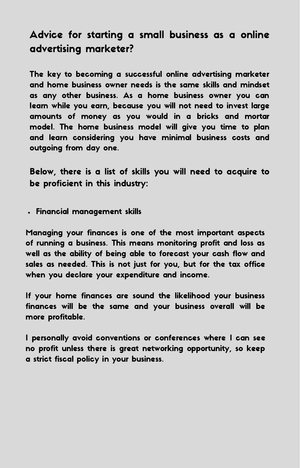# Advice for starting a small business as a online advertising marketer?

The key to becoming a successful online advertising marketer and home business owner needs is the same skills and mindset as any other business. As a home business owner you can learn while you earn, because you will not need to invest large amounts of money as you would in a bricks and mortar model. The home business model will give you time to plan and learn considering you have minimal business costs and outgoing from day one.

Below, there is a list of skills you will need to acquire to be proficient in this industry:

Financial management skills

Managing your finances is one of the most important aspects of running a business. This means monitoring profit and loss as well as the ability of being able to forecast your cash flow and sales as needed. This is not just for you, but for the tax office when you declare your expenditure and income.

If your home finances are sound the likelihood your business finances will be the same and your business overall will be more profitable.

I personally avoid conventions or conferences where I can see no profit unless there is great networking opportunity, so keep a strict fiscal policy in your business.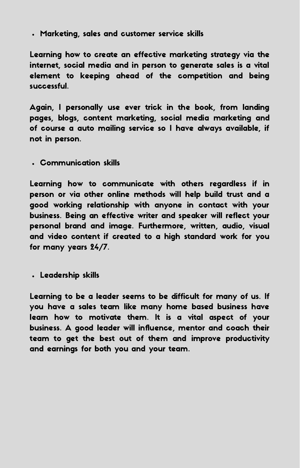Marketing, sales and customer service skills

Learning how to create an effective marketing strategy via the internet, social media and in person to generate sales is a vital element to keeping ahead of the competition and being successful.

Again, I personally use ever trick in the book, from landing pages, blogs, content marketing, social media marketing and of course a auto mailing service so I have always available, if not in person.

Communication skills

Learning how to communicate with others regardless if in person or via other online methods will help build trust and a good working relationship with anyone in contact with your business. Being an effective writer and speaker will reflect your personal brand and image. Furthermore, written, audio, visual and video content if created to a high standard work for you for many years 24/7.

Leadership skills

Learning to be a leader seems to be difficult for many of us. If you have a sales team like many home based business have learn how to motivate them. It is a vital aspect of your business. A good leader will influence, mentor and coach their team to get the best out of them and improve productivity and earnings for both you and your team.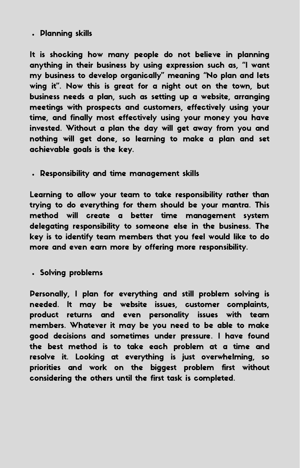#### Planning skills

It is shocking how many people do not believe in planning anything in their business by using expression such as, "I want my business to develop organically" meaning "No plan and lets wing it". Now this is great for a night out on the town, but business needs a plan, such as setting up a website, arranging meetings with prospects and customers, effectively using your time, and finally most effectively using your money you have invested. Without a plan the day will get away from you and nothing will get done, so learning to make a plan and set achievable goals is the key.

Responsibility and time management skills

Learning to allow your team to take responsibility rather than trying to do everything for them should be your mantra. This method will create a better time management system delegating responsibility to someone else in the business. The key is to identify team members that you feel would like to do more and even earn more by offering more responsibility.

Solving problems

Personally, I plan for everything and still problem solving is needed. It may be website issues, customer complaints, product returns and even personality issues with team members. Whatever it may be you need to be able to make good decisions and sometimes under pressure. I have found the best method is to take each problem at a time and resolve it. Looking at everything is just overwhelming, so priorities and work on the biggest problem first without considering the others until the first task is completed.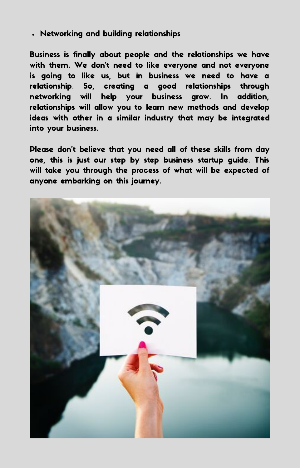Networking and building relationships

Business is finally about people and the relationships we have with them. We don't need to like everyone and not everyone is going to like us, but in business we need to have a relationship. So, creating a good relationships through networking will help your business grow. In addition, relationships will allow you to learn new methods and develop ideas with other in a similar industry that may be integrated into your business.

Please don't believe that you need all of these skills from day one, this is just our step by step business startup guide. This will take you through the process of what will be expected of anyone embarking on this journey.

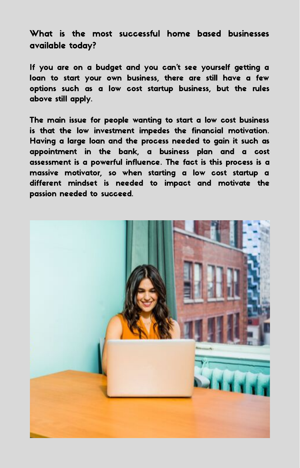What is the most successful home based businesses available today?

If you are on a budget and you can't see yourself getting a loan to start your own business, there are still have a few options such as a low cost startup business, but the rules above still apply.

The main issue for people wanting to start a low cost business is that the low investment impedes the financial motivation. Having a large loan and the process needed to gain it such as appointment in the bank, a business plan and a cost assessment is a powerful influence. The fact is this process is a massive motivator, so when starting a low cost startup a different mindset is needed to impact and motivate the passion needed to succeed.

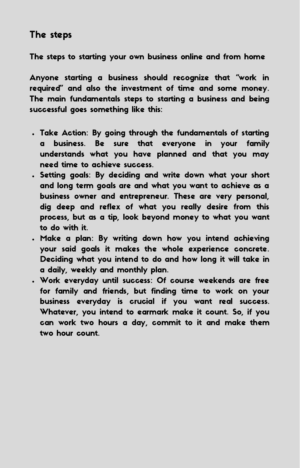## The steps

The steps to starting your own business online and from home

Anyone starting a business should recognize that "work in required" and also the investment of time and some money. The main fundamentals steps to starting a business and being successful goes something like this:

- Take Action: By going through the fundamentals of starting a business. Be sure that everyone in your family understands what you have planned and that you may need time to achieve success.
- . Setting goals: By deciding and write down what your short and long term goals are and what you want to achieve as a business owner and entrepreneur. These are very personal, dig deep and reflex of what you really desire from this process, but as a tip, look beyond money to what you want to do with it.
- Make a plan: By writing down how you intend achieving your said goals it makes the whole experience concrete. Deciding what you intend to do and how long it will take in a daily, weekly and monthly plan.
- Work everyday until success: Of course weekends are free for family and friends, but finding time to work on your business everyday is crucial if you want real success. Whatever, you intend to earmark make it count. So, if you can work two hours a day, commit to it and make them two hour count.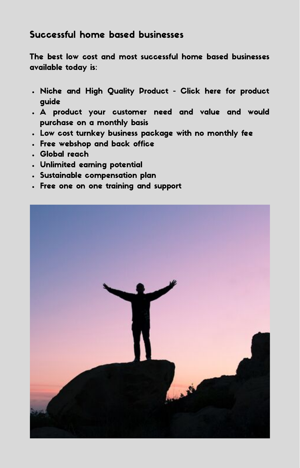### Successful home based businesses

The best low cost and most successful home based businesses available today is:

- Niche and High Quality Product Click here for product guide
- A product your customer need and value and would purchase on a monthly basis
- Low cost turnkey business package with no monthly fee
- Free webshop and back office
- Global reach
- Unlimited earning potential
- Sustainable compensation plan
- Free one on one training and support